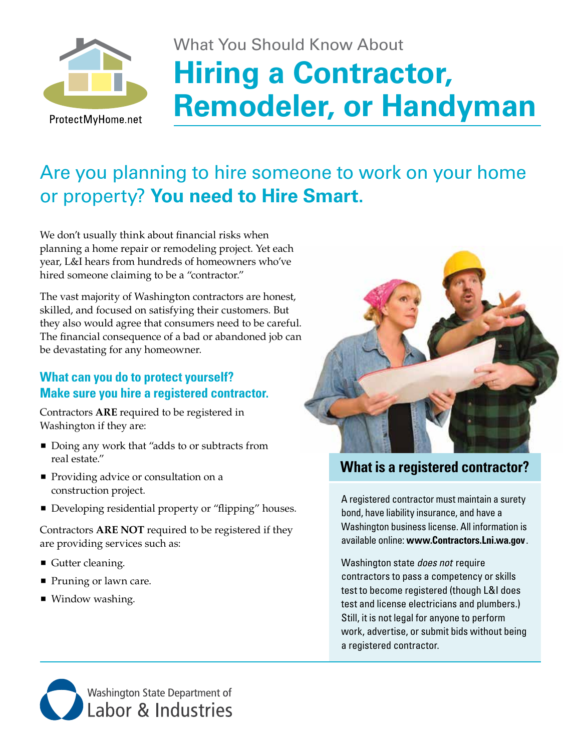

# What You Should Know About **Hiring a Contractor, Remodeler, or Handyman**

## Are you planning to hire someone to work on your home or property? **You need to Hire Smart.**

We don't usually think about financial risks when planning a home repair or remodeling project. Yet each year, L&I hears from hundreds of homeowners who've hired someone claiming to be a "contractor."

The vast majority of Washington contractors are honest, skilled, and focused on satisfying their customers. But they also would agree that consumers need to be careful. The financial consequence of a bad or abandoned job can be devastating for any homeowner.

### **What can you do to protect yourself? Make sure you hire a registered contractor.**

Contractors **ARE** required to be registered in Washington if they are:

- Doing any work that "adds to or subtracts from real estate."
- **Providing advice or consultation on a** construction project.
- Developing residential property or "flipping" houses.

Contractors **ARE NOT** required to be registered if they are providing services such as:

- Gutter cleaning.
- **Pruning or lawn care.**
- Window washing.



## **What is a registered contractor?**

A registered contractor must maintain a surety bond, have liability insurance, and have a Washington business license. All information is available online: **www.Contractors.Lni.wa.gov**.

Washington state *does not* require contractors to pass a competency or skills test to become registered (though L&I does test and license electricians and plumbers.) Still, it is not legal for anyone to perform work, advertise, or submit bids without being a registered contractor.

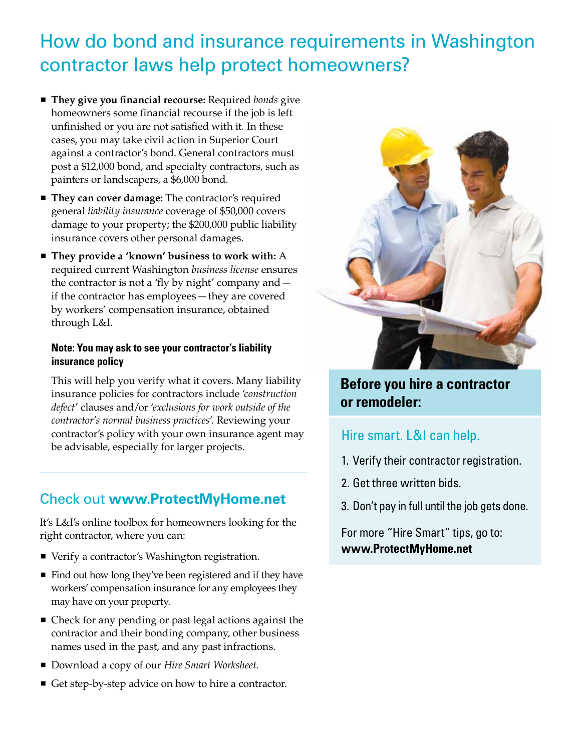## How do bond and insurance requirements in Washington contractor laws help protect homeowners?

- **They give you financial recourse:** Required *bonds* give homeowners some financial recourse if the job is left unfinished or you are not satisfied with it. In these cases, you may take civil action in Superior Court against a contractor's bond. General contractors must post a \$12,000 bond, and specialty contractors, such as painters or landscapers, a \$6,000 bond.
- **They can cover damage:** The contractor's required general *liability insurance* coverage of \$50,000 covers damage to your property; the \$200,000 public liability insurance covers other personal damages.
- They provide a 'known' business to work with: A required current Washington *business license* ensures the contractor is not a 'fly by night' company and if the contractor has employees — they are covered by workers' compensation insurance, obtained through L&I.

#### **Note: You may ask to see your contractor's liability insurance policy**

This will help you verify what it covers. Many liability insurance policies for contractors include '*construction defect*' clauses and/or '*exclusions for work outside of the contractor's normal business practices*'. Reviewing your contractor's policy with your own insurance agent may be advisable, especially for larger projects.

## Check out **www.ProtectMyHome.net**

It's L&I's online toolbox for homeowners looking for the right contractor, where you can:

- Verify a contractor's Washington registration.
- Find out how long they've been registered and if they have workers' compensation insurance for any employees they may have on your property.
- Check for any pending or past legal actions against the contractor and their bonding company, other business names used in the past, and any past infractions.
- Download a copy of our *Hire Smart Worksheet*.
- Get step-by-step advice on how to hire a contractor.



## **Before you hire a contractor or remodeler:**

## Hire smart. L&I can help.

- 1. Verify their contractor registration.
- 2. Get three written bids.
- 3. Don't pay in full until the job gets done.

For more "Hire Smart" tips, go to: **www.ProtectMyHome.net**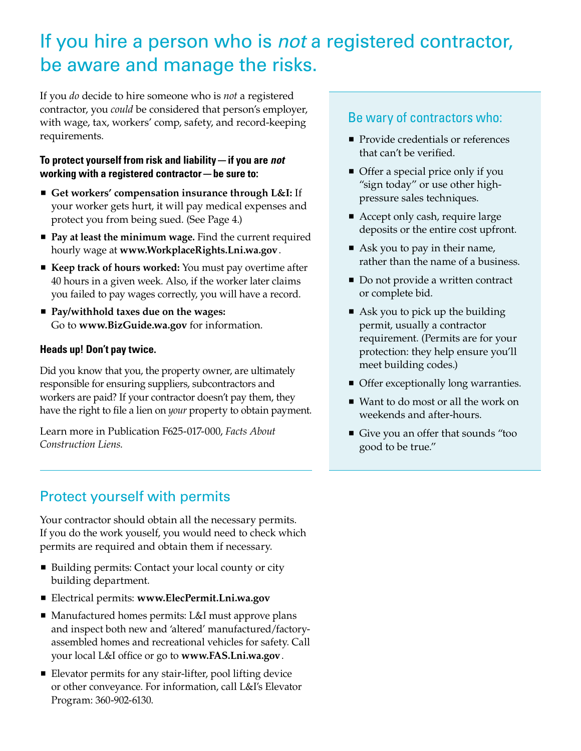## If you hire a person who is *not* a registered contractor, be aware and manage the risks.

If you *do* decide to hire someone who is *not* a registered contractor, you *could* be considered that person's employer, with wage, tax, workers' comp, safety, and record-keeping requirements.

#### **To protect yourself from risk and liability — if you are** *not* **working with a registered contractor — be sure to:**

- **Get workers' compensation insurance through L&I:** If your worker gets hurt, it will pay medical expenses and protect you from being sued. (See Page 4.)
- **Pay at least the minimum wage.** Find the current required hourly wage at **www.WorkplaceRights.Lni.wa.gov**.
- **Keep track of hours worked:** You must pay overtime after 40 hours in a given week. Also, if the worker later claims you failed to pay wages correctly, you will have a record.
- **Pay/withhold taxes due on the wages:** Go to **www.BizGuide.wa.gov** for information.

#### **Heads up! Don't pay twice.**

Did you know that you, the property owner, are ultimately responsible for ensuring suppliers, subcontractors and workers are paid? If your contractor doesn't pay them, they have the right to file a lien on *your* property to obtain payment.

Learn more in Publication F625-017-000, *Facts About Construction Liens*.

## Protect yourself with permits

Your contractor should obtain all the necessary permits. If you do the work youself, you would need to check which permits are required and obtain them if necessary.

- Building permits: Contact your local county or city building department.
- Electrical permits: **www.ElecPermit.Lni.wa.gov**
- Manufactured homes permits: L&I must approve plans and inspect both new and 'altered' manufactured/factoryassembled homes and recreational vehicles for safety. Call your local L&I office or go to **www.FAS.Lni.wa.gov**.
- Elevator permits for any stair-lifter, pool lifting device or other conveyance. For information, call L&I's Elevator Program: 360-902-6130.

#### Be wary of contractors who:

- **Provide credentials or references** that can't be verified.
- Offer a special price only if you "sign today" or use other highpressure sales techniques.
- Accept only cash, require large deposits or the entire cost upfront.
- Ask you to pay in their name, rather than the name of a business.
- Do not provide a written contract or complete bid.
- Ask you to pick up the building permit, usually a contractor requirement. (Permits are for your protection: they help ensure you'll meet building codes.)
- **Offer exceptionally long warranties.**
- Want to do most or all the work on weekends and after-hours.
- Give you an offer that sounds "too good to be true."